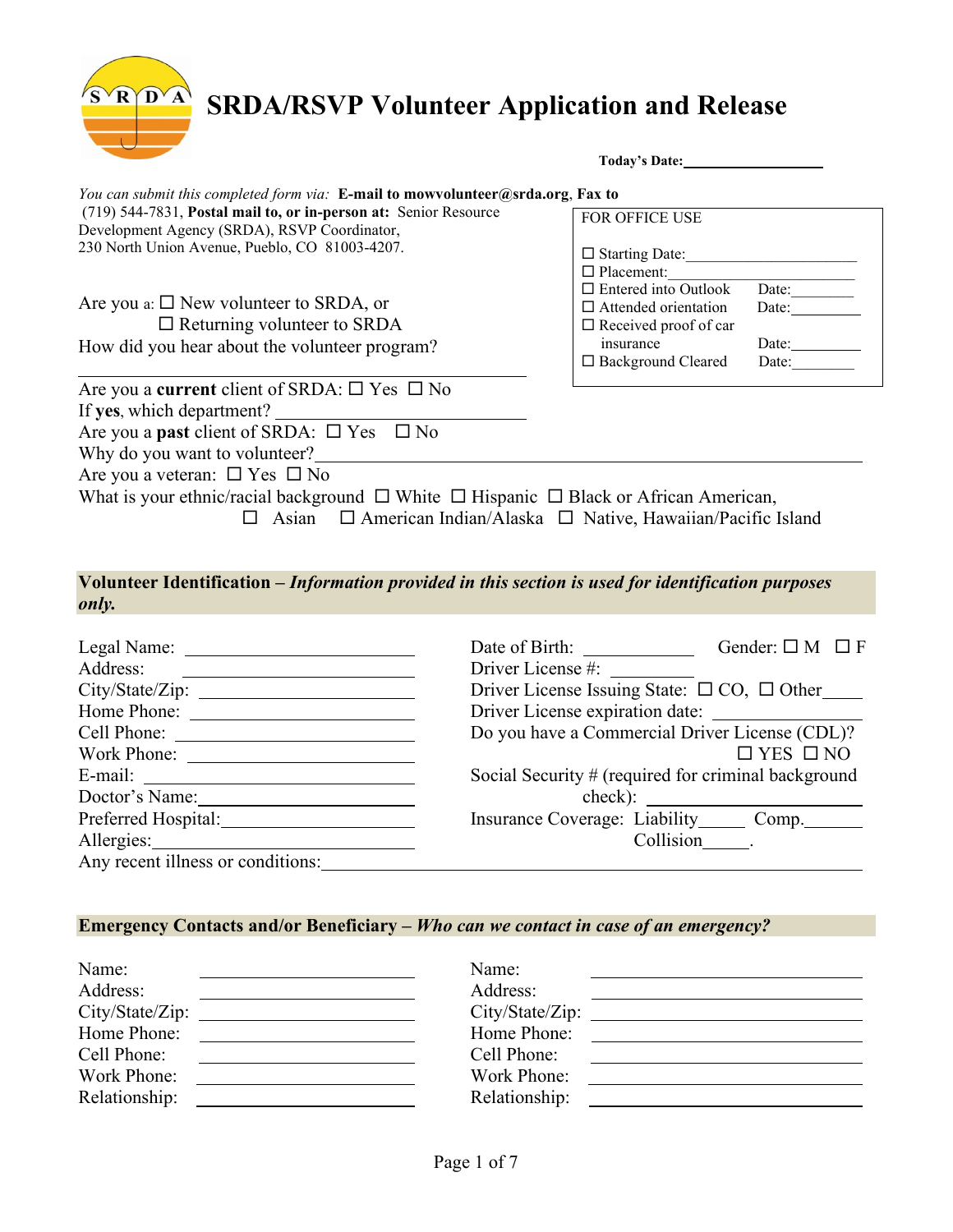$R$  $\widehat{D}$  $\widehat{A}$ 

|                                                                                                                                                     | Today's Date:                                               |                |  |
|-----------------------------------------------------------------------------------------------------------------------------------------------------|-------------------------------------------------------------|----------------|--|
| You can submit this completed form via: E-mail to mowvolunteer@srda.org, Fax to<br>(719) 544-7831, Postal mail to, or in-person at: Senior Resource | <b>FOR OFFICE USE</b>                                       |                |  |
| Development Agency (SRDA), RSVP Coordinator,                                                                                                        |                                                             |                |  |
| 230 North Union Avenue, Pueblo, CO 81003-4207.                                                                                                      | $\Box$ Starting Date:<br>$\Box$ Placement:                  |                |  |
| Are you a: $\square$ New volunteer to SRDA, or                                                                                                      | $\Box$ Entered into Outlook                                 | Date:          |  |
| $\Box$ Returning volunteer to SRDA                                                                                                                  | $\Box$ Attended orientation<br>$\Box$ Received proof of car | Date:          |  |
| How did you hear about the volunteer program?                                                                                                       | insurance<br>$\Box$ Background Cleared                      | Date:<br>Date: |  |
| Are you a <b>current</b> client of SRDA: $\Box$ Yes $\Box$ No                                                                                       |                                                             |                |  |
| If yes, which department?                                                                                                                           |                                                             |                |  |
| Are you a <b>past</b> client of SRDA: $\square$ Yes $\square$ No                                                                                    |                                                             |                |  |
| Why do you want to volunteer?                                                                                                                       |                                                             |                |  |
| Are you a veteran: $\Box$ Yes $\Box$ No                                                                                                             |                                                             |                |  |
| What is your ethnic/racial background $\Box$ White $\Box$ Hispanic $\Box$ Black or African American,                                                |                                                             |                |  |

 $\Box$  Asian  $\Box$  American Indian/Alaska  $\Box$  Native, Hawaiian/Pacific Island

**Volunteer Identification –** *Information provided in this section is used for identification purposes only.*

|                                   | Date of Birth:<br>Gender: $\square M \square F$             |
|-----------------------------------|-------------------------------------------------------------|
| Address:                          | Driver License #:                                           |
|                                   | Driver License Issuing State: $\square$ CO, $\square$ Other |
| Home Phone:                       |                                                             |
|                                   | Do you have a Commercial Driver License (CDL)?              |
|                                   | $\Box$ YES $\Box$ NO                                        |
|                                   | Social Security # (required for criminal background         |
| Doctor's Name:                    |                                                             |
| Preferred Hospital:               | Insurance Coverage: Liability Comp.                         |
| Allergies:                        | Collision .                                                 |
| Any recent illness or conditions: |                                                             |

# **Emergency Contacts and/or Beneficiary –** *Who can we contact in case of an emergency?*

| Name:         | Name:           |
|---------------|-----------------|
| Address:      | Address:        |
|               | City/State/Zip: |
| Home Phone:   | Home Phone:     |
| Cell Phone:   | Cell Phone:     |
| Work Phone:   | Work Phone:     |
| Relationship: | Relationship:   |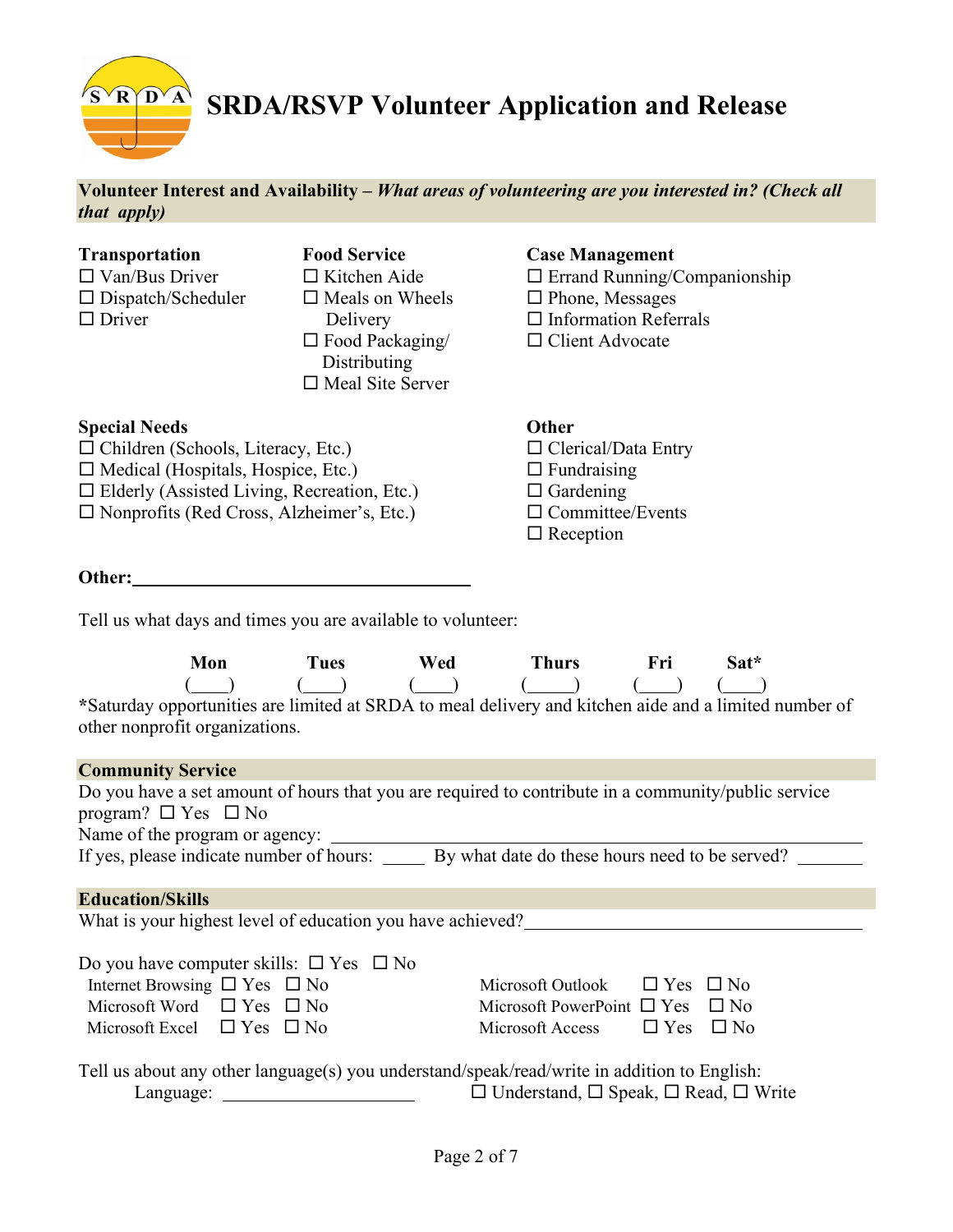**Volunteer Interest and Availability –** *What areas of volunteering are you interested in? (Check all that apply)*

- 
- 
- **Transportation Food Service Case Management**  $\Box$  Van/Bus Driver  $\Box$  Kitchen Aide  $\Box$  Errand Running/Companionship  $\square$  Dispatch/Scheduler  $\square$  Meals on Wheels  $\square$  Phone, Messages  $\Box$  Driver Delivery  $\Box$  Information Referrals  $\Box$  Food Packaging/  $\Box$  Client Advocate **Distributing**  $\Box$  Meal Site Server

#### **Special Needs Other**

□ Children (Schools, Literacy, Etc.) □ Clerical/Data Entry  $\Box$  Medical (Hospitals, Hospice, Etc.)  $\Box$  Fundraising

 $\Box$  Elderly (Assisted Living, Recreation, Etc.)  $\Box$  Gardening

 $\square$  Nonprofits (Red Cross, Alzheimer's, Etc.)  $\square$  Committee/Events

#### **Other:**

Tell us what days and times you are available to volunteer:

## **Mon Tues Wed Thurs Fri Sat\***  $\begin{pmatrix} \begin{pmatrix} 1 \end{pmatrix} & \begin{pmatrix} 1 \end{pmatrix} & \begin{pmatrix} 1 \end{pmatrix} & \begin{pmatrix} 1 \end{pmatrix} & \begin{pmatrix} 1 \end{pmatrix} & \begin{pmatrix} 1 \end{pmatrix} & \begin{pmatrix} 1 \end{pmatrix} & \begin{pmatrix} 1 \end{pmatrix} \end{pmatrix}$ **\***Saturday opportunities are limited at SRDA to meal delivery and kitchen aide and a limited number of other nonprofit organizations.

 $\square$  Reception

| <b>Community Service</b>                                                                    |                                                                                                     |
|---------------------------------------------------------------------------------------------|-----------------------------------------------------------------------------------------------------|
| program? $\Box$ Yes $\Box$ No                                                               | Do you have a set amount of hours that you are required to contribute in a community/public service |
|                                                                                             |                                                                                                     |
|                                                                                             | If yes, please indicate number of hours: By what date do these hours need to be served?             |
| <b>Education/Skills</b>                                                                     |                                                                                                     |
| What is your highest level of education you have achieved?                                  |                                                                                                     |
| Do you have computer skills: $\square$ Yes $\square$ No                                     |                                                                                                     |
| Internet Browsing $\Box$ Yes $\Box$ No                                                      | Microsoft Outlook $\Box$ Yes $\Box$ No                                                              |
| Microsoft Word $\Box$ Yes $\Box$ No                                                         | Microsoft PowerPoint $\Box$ Yes $\Box$ No                                                           |
| Microsoft Excel $\Box$ Yes $\Box$ No                                                        | Microsoft Access $\Box$ Yes $\Box$ No                                                               |
| Tell us about any other language(s) you understand/speak/read/write in addition to English: |                                                                                                     |
| Language:                                                                                   | $\Box$ Understand, $\Box$ Speak, $\Box$ Read, $\Box$ Write                                          |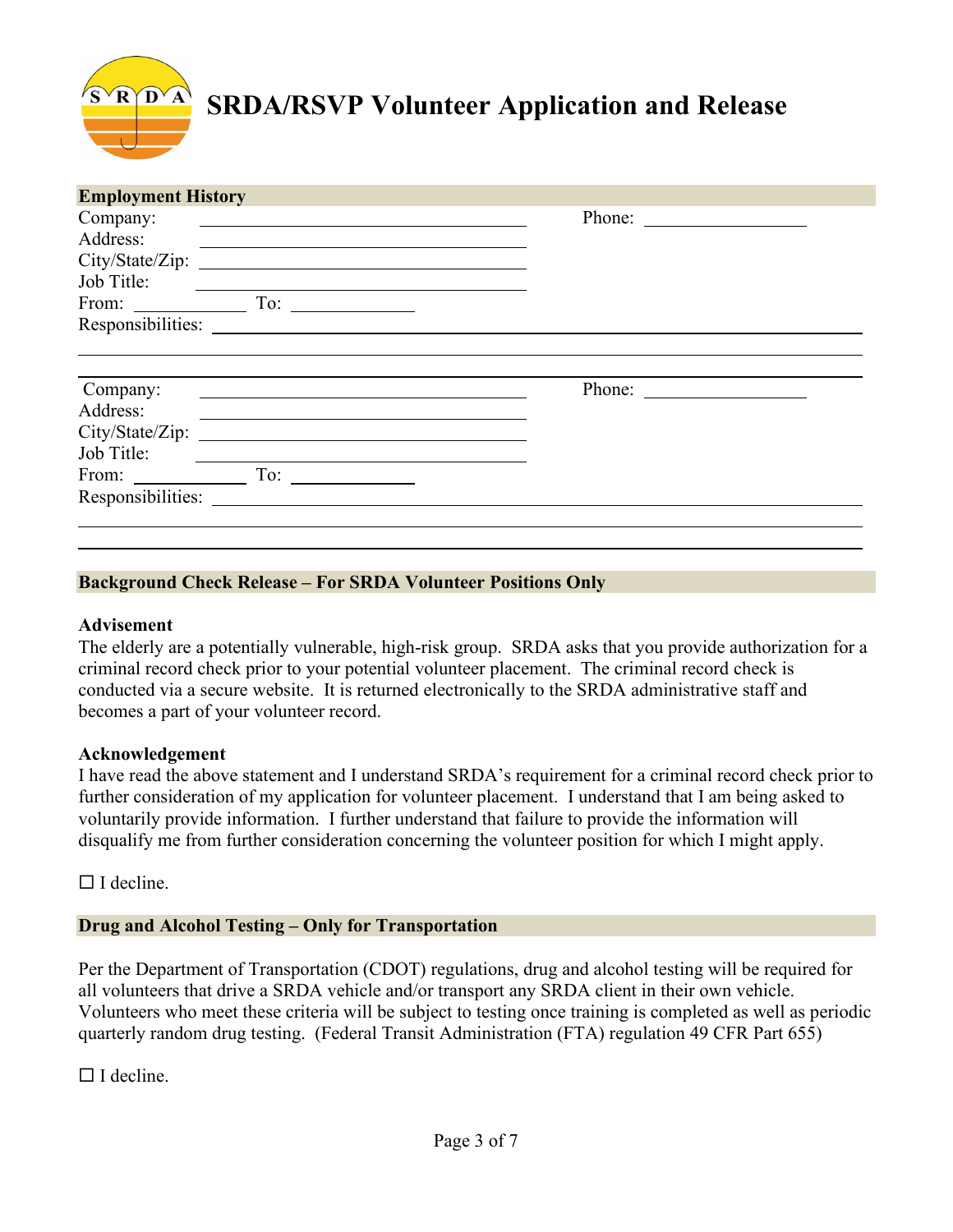| <b>Employment History</b> |                                                                                                                                                                                                                                                                                                                                                                                                              |
|---------------------------|--------------------------------------------------------------------------------------------------------------------------------------------------------------------------------------------------------------------------------------------------------------------------------------------------------------------------------------------------------------------------------------------------------------|
| Company:                  |                                                                                                                                                                                                                                                                                                                                                                                                              |
| Address:                  | <u> 1980 - Johann Stoff, deutscher Stoff, der Stoff, der Stoff, der Stoff, der Stoff, der Stoff, der Stoff, der S</u>                                                                                                                                                                                                                                                                                        |
| City/State/Zip:           | <u> 1989 - Andrea State Barbara, amerikan personal di sebagai personal di sebagai personal di sebagai personal di</u>                                                                                                                                                                                                                                                                                        |
| Job Title:                |                                                                                                                                                                                                                                                                                                                                                                                                              |
|                           |                                                                                                                                                                                                                                                                                                                                                                                                              |
|                           |                                                                                                                                                                                                                                                                                                                                                                                                              |
| Company:                  | Phone: $\frac{1}{\sqrt{1-\frac{1}{2}}\sqrt{1-\frac{1}{2}}\sqrt{1-\frac{1}{2}}\sqrt{1-\frac{1}{2}}\sqrt{1-\frac{1}{2}}\sqrt{1-\frac{1}{2}}\sqrt{1-\frac{1}{2}}\sqrt{1-\frac{1}{2}}\sqrt{1-\frac{1}{2}}\sqrt{1-\frac{1}{2}}\sqrt{1-\frac{1}{2}}\sqrt{1-\frac{1}{2}}\sqrt{1-\frac{1}{2}}\sqrt{1-\frac{1}{2}}\sqrt{1-\frac{1}{2}}\sqrt{1-\frac{1}{2}}\sqrt{1-\frac{1}{2}}\sqrt{1-\frac{1}{2}}\sqrt{1-\frac{1}{2$ |
| Address:                  |                                                                                                                                                                                                                                                                                                                                                                                                              |
|                           |                                                                                                                                                                                                                                                                                                                                                                                                              |
| City/State/Zip:           | <u> 1989 - John Stein, Amerikaansk politiker (</u> † 1920)                                                                                                                                                                                                                                                                                                                                                   |
| Job Title:                |                                                                                                                                                                                                                                                                                                                                                                                                              |
| From: To: To:             |                                                                                                                                                                                                                                                                                                                                                                                                              |
| Responsibilities:         |                                                                                                                                                                                                                                                                                                                                                                                                              |

## **Background Check Release – For SRDA Volunteer Positions Only**

#### **Advisement**

The elderly are a potentially vulnerable, high-risk group. SRDA asks that you provide authorization for a criminal record check prior to your potential volunteer placement. The criminal record check is conducted via a secure website. It is returned electronically to the SRDA administrative staff and becomes a part of your volunteer record.

#### **Acknowledgement**

I have read the above statement and I understand SRDA's requirement for a criminal record check prior to further consideration of my application for volunteer placement. I understand that I am being asked to voluntarily provide information. I further understand that failure to provide the information will disqualify me from further consideration concerning the volunteer position for which I might apply.

 $\Box$  I decline.

#### **Drug and Alcohol Testing – Only for Transportation**

Per the Department of Transportation (CDOT) regulations, drug and alcohol testing will be required for all volunteers that drive a SRDA vehicle and/or transport any SRDA client in their own vehicle. Volunteers who meet these criteria will be subject to testing once training is completed as well as periodic quarterly random drug testing. (Federal Transit Administration (FTA) regulation 49 CFR Part 655)

 $\Box$  I decline.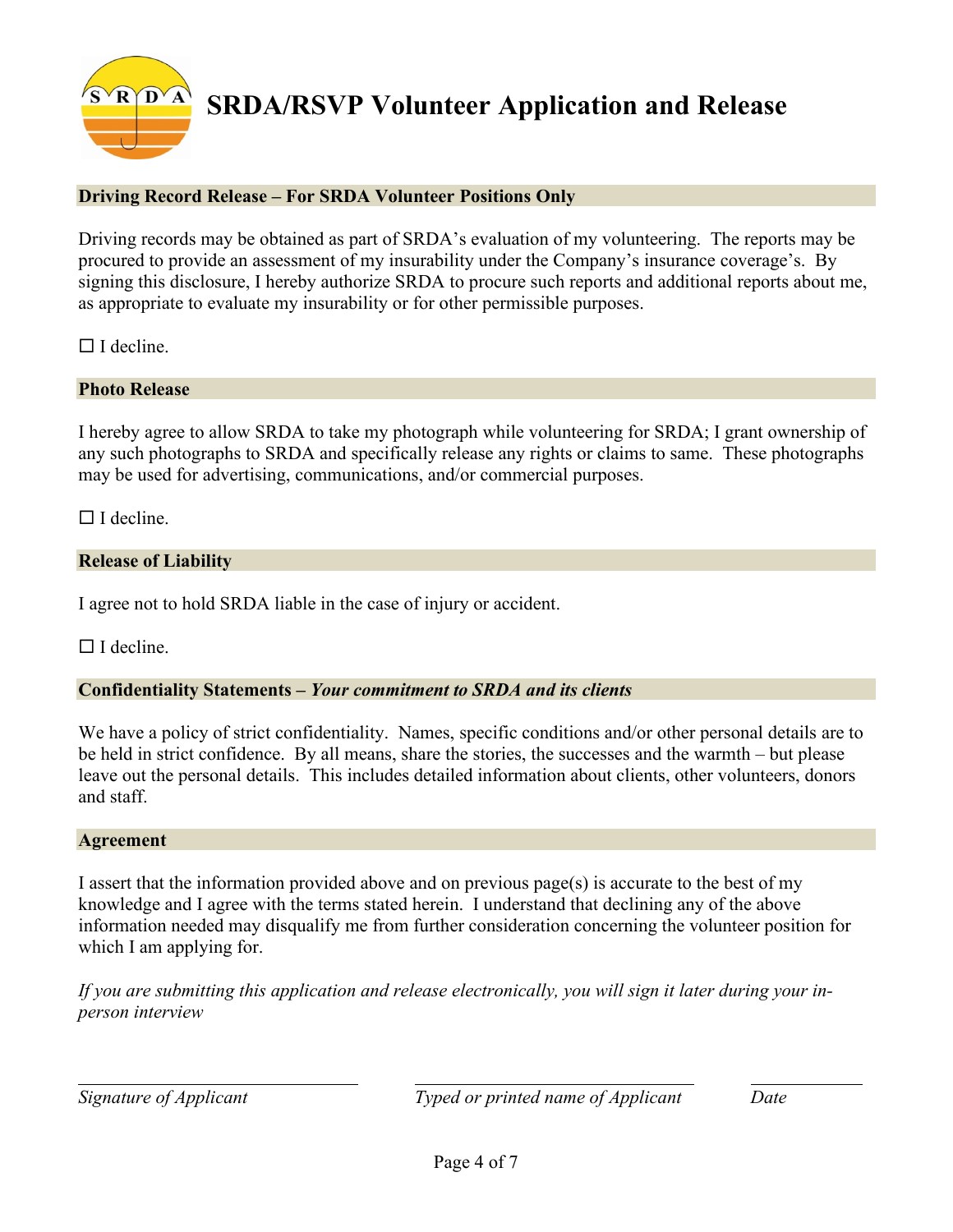# **Driving Record Release – For SRDA Volunteer Positions Only**

Driving records may be obtained as part of SRDA's evaluation of my volunteering. The reports may be procured to provide an assessment of my insurability under the Company's insurance coverage's. By signing this disclosure, I hereby authorize SRDA to procure such reports and additional reports about me, as appropriate to evaluate my insurability or for other permissible purposes.

 $\Box$  I decline.

## **Photo Release**

I hereby agree to allow SRDA to take my photograph while volunteering for SRDA; I grant ownership of any such photographs to SRDA and specifically release any rights or claims to same. These photographs may be used for advertising, communications, and/or commercial purposes.

 $\Box$  I decline.

## **Release of Liability**

I agree not to hold SRDA liable in the case of injury or accident.

 $\Box$  I decline.

#### **Confidentiality Statements –** *Your commitment to SRDA and its clients*

We have a policy of strict confidentiality. Names, specific conditions and/or other personal details are to be held in strict confidence. By all means, share the stories, the successes and the warmth – but please leave out the personal details. This includes detailed information about clients, other volunteers, donors and staff.

#### **Agreement**

I assert that the information provided above and on previous page(s) is accurate to the best of my knowledge and I agree with the terms stated herein. I understand that declining any of the above information needed may disqualify me from further consideration concerning the volunteer position for which I am applying for.

*If you are submitting this application and release electronically, you will sign it later during your inperson interview*

*Signature of Applicant Typed or printed name of Applicant Date*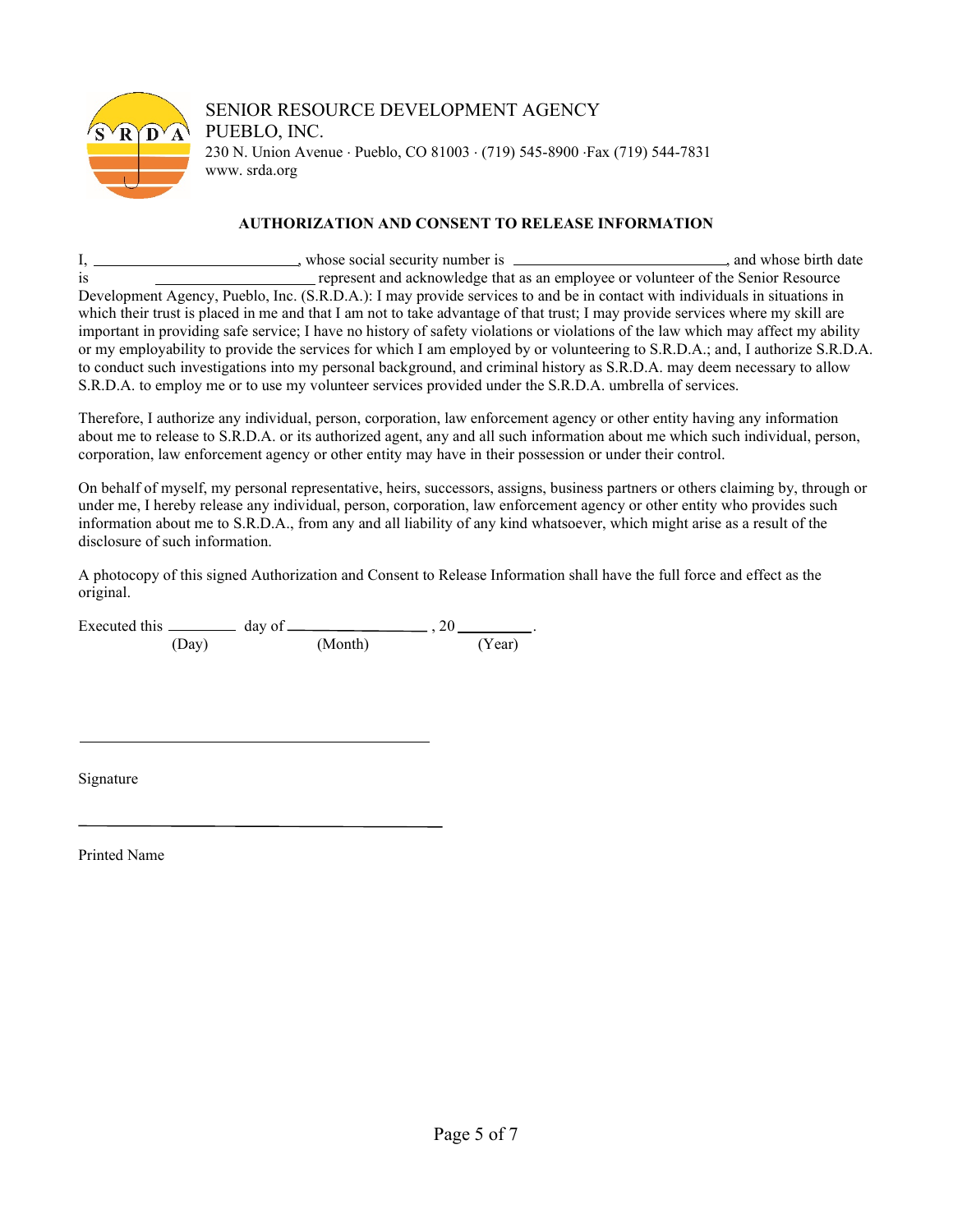

# SENIOR RESOURCE DEVELOPMENT AGENCY PUEBLO, INC. 230 N. Union Avenue ⋅ Pueblo, CO 81003 ⋅ (719) 545-8900 ⋅Fax (719) 544-7831 www. srda.org

#### **AUTHORIZATION AND CONSENT TO RELEASE INFORMATION**

I, \_\_\_\_\_\_\_\_\_\_\_\_\_\_\_\_\_\_\_\_, whose social security number is \_\_\_\_\_\_\_\_\_\_\_\_\_\_\_\_\_\_\_\_\_\_\_\_, and whose birth date is represent and acknowledge that as an employee or volunteer of the Senior Resource Development Agency, Pueblo, Inc. (S.R.D.A.): I may provide services to and be in contact with individuals in situations in which their trust is placed in me and that I am not to take advantage of that trust; I may provide services where my skill are important in providing safe service; I have no history of safety violations or violations of the law which may affect my ability or my employability to provide the services for which I am employed by or volunteering to S.R.D.A.; and, I authorize S.R.D.A. to conduct such investigations into my personal background, and criminal history as S.R.D.A. may deem necessary to allow S.R.D.A. to employ me or to use my volunteer services provided under the S.R.D.A. umbrella of services.

Therefore, I authorize any individual, person, corporation, law enforcement agency or other entity having any information about me to release to S.R.D.A. or its authorized agent, any and all such information about me which such individual, person, corporation, law enforcement agency or other entity may have in their possession or under their control.

On behalf of myself, my personal representative, heirs, successors, assigns, business partners or others claiming by, through or under me, I hereby release any individual, person, corporation, law enforcement agency or other entity who provides such information about me to S.R.D.A., from any and all liability of any kind whatsoever, which might arise as a result of the disclosure of such information.

A photocopy of this signed Authorization and Consent to Release Information shall have the full force and effect as the original.

|       | $day \text{ of } \_\_\$ |        |
|-------|-------------------------|--------|
| (Day) | (Month)                 | (Year) |

Signature

Printed Name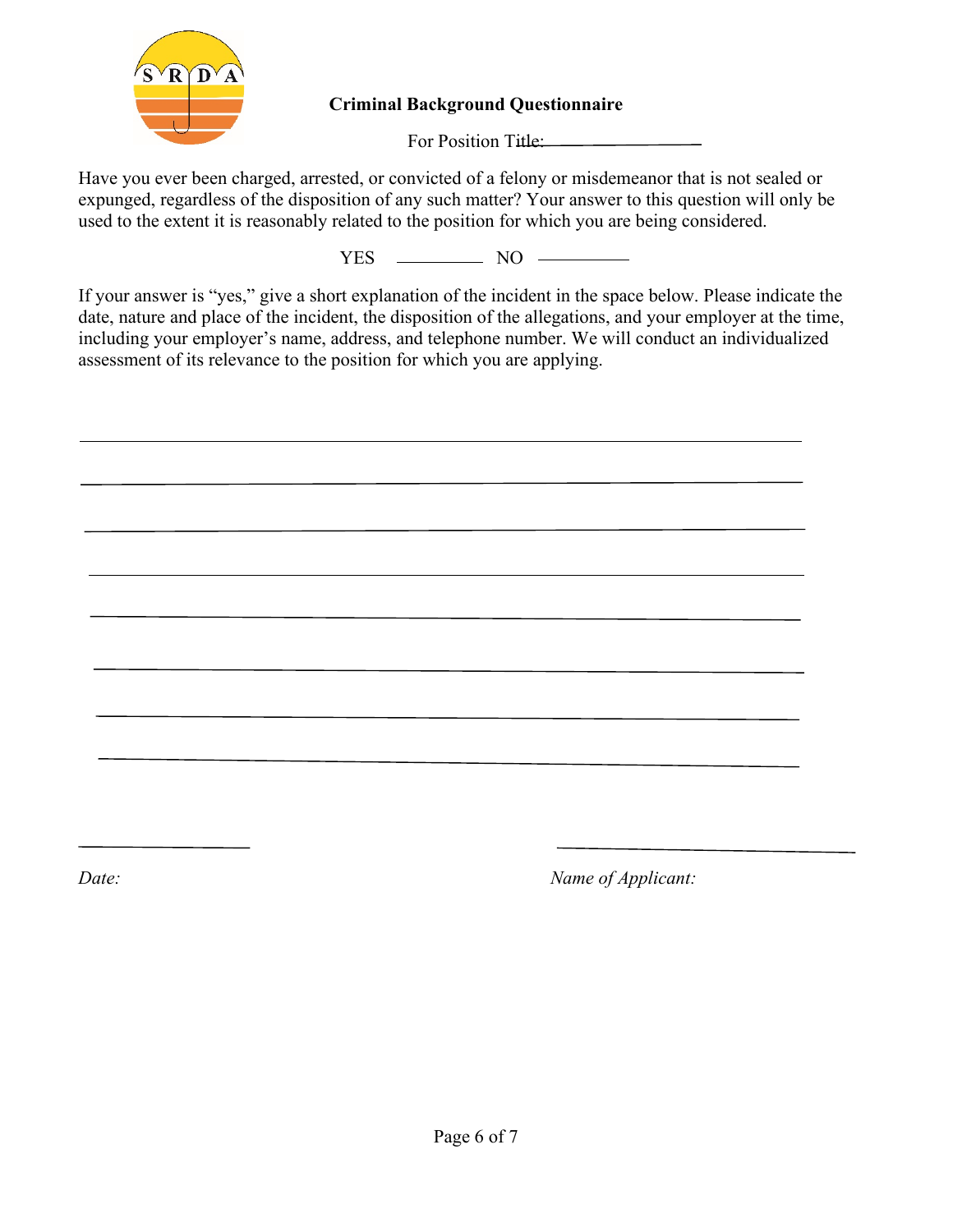

**Criminal Background Questionnaire** 

For Position Title:

Have you ever been charged, arrested, or convicted of a felony or misdemeanor that is not sealed or expunged, regardless of the disposition of any such matter? Your answer to this question will only be used to the extent it is reasonably related to the position for which you are being considered.

 $YES$  NO  $\longrightarrow$ 

If your answer is "yes," give a short explanation of the incident in the space below. Please indicate the date, nature and place of the incident, the disposition of the allegations, and your employer at the time, including your employer's name, address, and telephone number. We will conduct an individualized assessment of its relevance to the position for which you are applying.

*Date: Name of Applicant:*